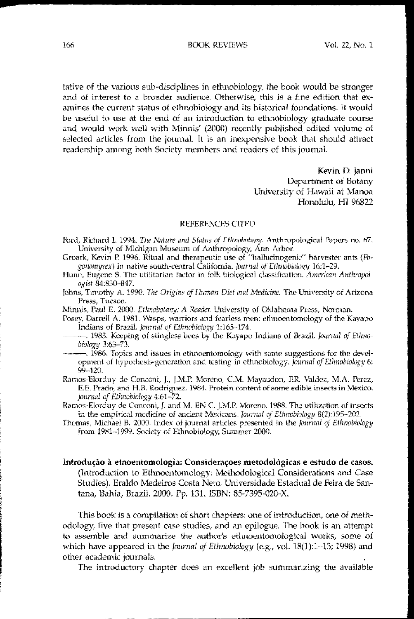**BOOK REVIEWS** 

tative of the various sub-disciplines in ethnobiology, the book would be stronger and of interest to a broader audience. Otherwise, this is a fine edition that examines the current status of ethnobiology and its historical foundations. It would be useful to use at the end of an introduction to ethnobiology graduate course and would work well with Minnis' (2000) recently published edited volume of selected articles from the journal. It is an inexpensive book that should attract readership among both Society members and readers of this journal.

> Kevin D. Janni Department of Botany University of Hawaii at Manoa Honolulu, HI 96822

## REFERENCES CITED

- Ford, Richard I. 1994. The Nature and Status of Ethnobotany. Anthropological Papers no. 67. University of Michigan Museum of Anthropology, Ann Arbor.
- Groark, Kevin P. 1996. Ritual and therapeutic use of "hallucinogenic" harvester ants (Pogonomyrex) in native south-central California. Journal of Ethnobiology 16:1-29.

Hunn, Eugene S. The utilitarian factor in folk biological classification. American Anthropologist 84:830-847.

Johns, Timothy A. 1990. The Origins of Human Diet and Medicine. The University of Arizona Press, Tucson.

Minnis, Paul E. 2000. Ethnobotany: A Reader. University of Oklahoma Press, Norman.

- Posey, Darrell A. 1981. Wasps, warriors and fearless men: ethnoentomology of the Kayapo Indians of Brazil. Journal of Ethnobiology 1:165-174.
	- -. 1983. Keeping of stingless bees by the Kayapo Indians of Brazil. Journal of Ethnobiology 3:63-73.
	- 1986. Topics and issues in ethnoentomology with some suggestions for the development of hypothesis-generation and testing in ethnobiology. Journal of Ethnobiology 6:  $99 - 120.$
- Ramos-Elorduy de Conconi, J., J.M.P. Moreno, C.M. Mayaudon, F.R. Valdez, M.A. Perez, E.E. Prado, and H.B. Rodriguez. 1984. Protein content of some edible insects in Mexico. Journal of Ethnobiology 4:61-72.

Ramos-Elorduy de Conconi, J. and M. EN C. J.M.P. Moreno. 1988. The utilization of insects in the empirical medicine of ancient Mexicans. Journal of Ethnobiology 8(2):195-202.

Thomas, Michael B. 2000. Index of journal articles presented in the Journal of Ethnobiology from 1981-1999. Society of Ethnobiology, Summer 2000.

Introdução à etnoentomologia: Considerações metodológicas e estudo de casos. (Introduction to Ethnoentomology: Methodological Considerations and Case Studies). Eraldo Medeiros Costa Neto. Universidade Estadual de Feira de Santana, Bahia, Brazil. 2000. Pp. 131. ISBN: 85-7395-020-X.

This book is a compilation of short chapters: one of introduction, one of methodology, five that present case studies, and an epilogue. The book is an attempt to assemble and summarize the author's ethnoentomological works, some of which have appeared in the *Journal of Ethnobiology* (e.g., vol.  $18(1):1-13$ ; 1998) and other academic journals.

The introductory chapter does an excellent job summarizing the available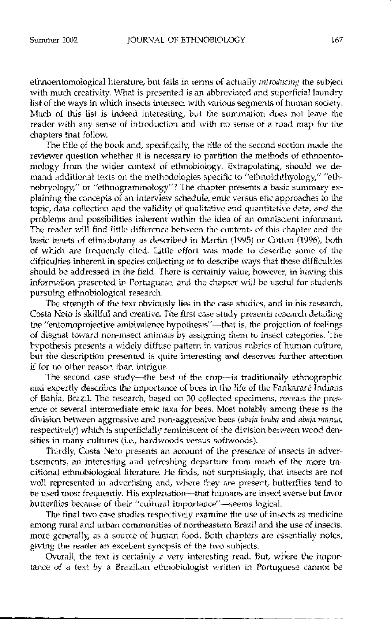ethnoentomological literature, but fails in terms of actually *introducing* the subject with much creativity. What is presented is an abbreviated and superficial laundry list of the ways in which insects intersect with various segments of human society. Much of this list is indeed interesting, but the summation does not leave the reader with any sense of introduction and with no sense of a road map for the chapters that follow.

The title of the book and, specifically, the title of the second section made the reviewer question whether it is necessary to partition the methods of ethnoentomology from the wider context of ethnobiology. Extrapolating, should we demand additional texts on the methodologies specific to "ethnoichthyology," "ethnobryology," or "ethnograminology"? The chapter presents a basic summary explaining the concepts of an interview schedule, emie versus etie approaches to the topic, data collection and the validity ot qualitative and quantitative data, and the problems and possibilities inherent within the idea of an omniscient informant. The reader will find little difference between the contents of this chapter and the basic tenets of ethnobotany as described in Martin (1995) or Cotton (1996), both of which are frequently cited. Little effort was made to describe some of tbe difficulties inherent in species collecting or to describe ways that these difficulties should be addressed in the field. There is certainly value, however, in having this information presented in Portuguese, and the chapter will be useful for students pursuing ethnobiologieal research.

The strength of the text obviously lies in the case studies, and in his research, Costa Neto is skillful and creative. The first case study presents research detailing the "entomoprojective ambivalence hypothesis"-that is, the projection of feelings of disgust toward non-insect animals by assigning them to insect categories. The hypothesis presents a widely diffuse pattern in various rubrics of human culture, but the description presented is quite interesting and deserves further attention if for no other reason than intrigue.

The second case study-the best of the crop-is traditionally ethnographic and expertly describes the importance of bees in the life of the Pankarare Indians of Bahia, Brazil. The research, based on 30 collected specimens, reveals the presence of several intermediate emic taxa for bees. Most notably among these is the division between aggressive and non-aggressive bees *(abeja braba* and *abeja mansa*, respectively) which is superficially reminiscent of the division between wcod densities in many cultures (i.e., hardwoods versus softwoods).

Thirdly, Costa Neto presents an account of the presence of insects in advertisements, an interesting and refreshing departore from much of the more traditional ethnobiological literature. He finds, not surprisingly, that insects are not well represented in advertising and, where they are present, butterflies tend to be used most frequently. His explanation-that humans are insect averse but favor butterflies because of their "cultural importance"-seems logical.

The final two case studies respectively examine the use of insects as medicine among rural and urban communities of northeastern Brazil and the use of insects, more generally, as a source of human food. Both chapters are essentially notes, giving the reader an excellent synopsis of the two subjects.

Overall, the text is certainly a very interesting read. But, where the importance of a text by a Brazilian ethnobiologist written in Portuguese cannot be